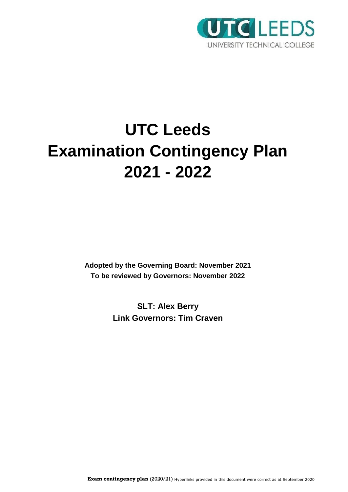

# **UTC Leeds Examination Contingency Plan 2021 - 2022**

**Adopted by the Governing Board: November 2021 To be reviewed by Governors: November 2022**

> **SLT: Alex Berry Link Governors: Tim Craven**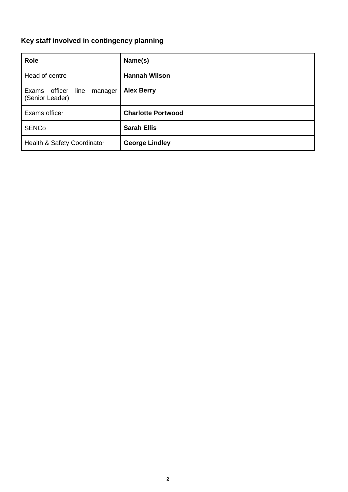# <span id="page-1-0"></span>**Key staff involved in contingency planning**

| Role                                             | Name(s)                   |
|--------------------------------------------------|---------------------------|
| Head of centre                                   | <b>Hannah Wilson</b>      |
| Exams officer<br>line manager<br>(Senior Leader) | <b>Alex Berry</b>         |
| Exams officer                                    | <b>Charlotte Portwood</b> |
| <b>SENCo</b>                                     | <b>Sarah Ellis</b>        |
| Health & Safety Coordinator                      | <b>George Lindley</b>     |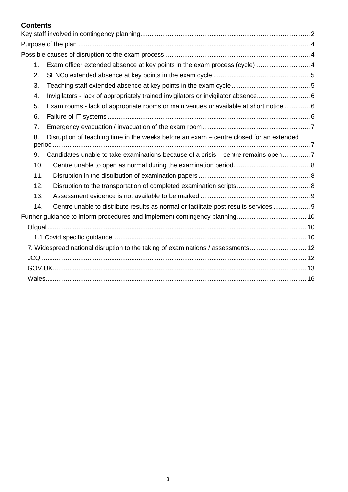# **Contents**

| 1.  | Exam officer extended absence at key points in the exam process (cycle) 4               |  |
|-----|-----------------------------------------------------------------------------------------|--|
| 2.  |                                                                                         |  |
| 3.  |                                                                                         |  |
| 4.  | Invigilators - lack of appropriately trained invigilators or invigilator absence 6      |  |
| 5.  | Exam rooms - lack of appropriate rooms or main venues unavailable at short notice  6    |  |
| 6.  |                                                                                         |  |
| 7.  |                                                                                         |  |
| 8.  | Disruption of teaching time in the weeks before an exam - centre closed for an extended |  |
| 9.  | Candidates unable to take examinations because of a crisis - centre remains open7       |  |
| 10. |                                                                                         |  |
| 11. |                                                                                         |  |
| 12. |                                                                                         |  |
| 13. |                                                                                         |  |
| 14. | Centre unable to distribute results as normal or facilitate post results services  9    |  |
|     |                                                                                         |  |
|     |                                                                                         |  |
|     |                                                                                         |  |
|     | 7. Widespread national disruption to the taking of examinations / assessments 12        |  |
|     |                                                                                         |  |
|     |                                                                                         |  |
|     |                                                                                         |  |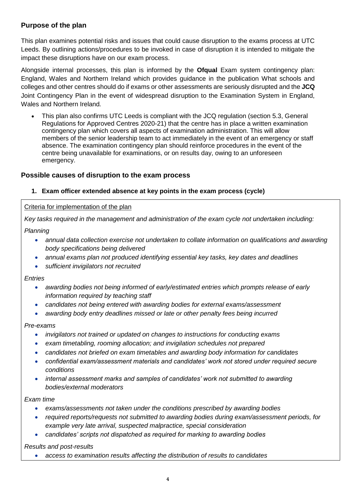# <span id="page-3-0"></span>**Purpose of the plan**

This plan examines potential risks and issues that could cause disruption to the exams process at UTC Leeds. By outlining actions/procedures to be invoked in case of disruption it is intended to mitigate the impact these disruptions have on our exam process.

Alongside internal processes, this plan is informed by the **Ofqual** Exam system contingency plan: England, Wales and Northern Ireland which provides guidance in the publication What schools and colleges and other centres should do if exams or other assessments are seriously disrupted and the **JCQ** Joint Contingency Plan in the event of widespread disruption to the Examination System in England, Wales and Northern Ireland*.*

 This plan also confirms UTC Leeds is compliant with the JCQ regulation (section 5.3, General Regulations for Approved Centres 2020-21) that the centre has in place a written examination contingency plan which covers all aspects of examination administration. This will allow members of the senior leadership team to act immediately in the event of an emergency or staff absence. The examination contingency plan should reinforce procedures in the event of the centre being unavailable for examinations, or on results day, owing to an unforeseen emergency.

# <span id="page-3-1"></span>**Possible causes of disruption to the exam process**

# <span id="page-3-2"></span>**1. Exam officer extended absence at key points in the exam process (cycle)**

#### Criteria for implementation of the plan

*Key tasks required in the management and administration of the exam cycle not undertaken including:*

#### *Planning*

- *annual data collection exercise not undertaken to collate information on qualifications and awarding body specifications being delivered*
- *annual exams plan not produced identifying essential key tasks, key dates and deadlines*
- *sufficient invigilators not recruited*

#### *Entries*

- *awarding bodies not being informed of early/estimated entries which prompts release of early information required by teaching staff*
- *candidates not being entered with awarding bodies for external exams/assessment*
- *awarding body entry deadlines missed or late or other penalty fees being incurred*

#### *Pre-exams*

- *invigilators not trained or updated on changes to instructions for conducting exams*
- *exam timetabling, rooming allocation; and invigilation schedules not prepared*
- *candidates not briefed on exam timetables and awarding body information for candidates*
- *confidential exam/assessment materials and candidates' work not stored under required secure conditions*
- *internal assessment marks and samples of candidates' work not submitted to awarding bodies/external moderators*

#### *Exam time*

- *exams/assessments not taken under the conditions prescribed by awarding bodies*
- *required reports/requests not submitted to awarding bodies during exam/assessment periods, for example very late arrival, suspected malpractice, special consideration*
- *candidates' scripts not dispatched as required for marking to awarding bodies*

*Results and post-results*

*access to examination results affecting the distribution of results to candidates*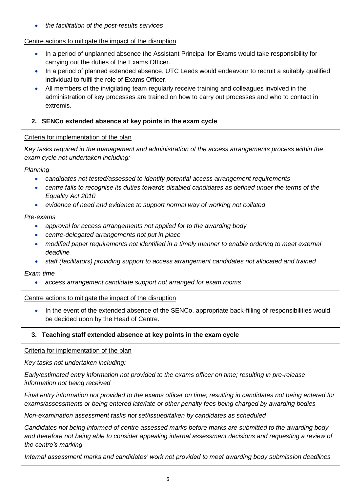*the facilitation of the post-results services*

Centre actions to mitigate the impact of the disruption

- In a period of unplanned absence the Assistant Principal for Exams would take responsibility for carrying out the duties of the Exams Officer.
- In a period of planned extended absence, UTC Leeds would endeavour to recruit a suitably qualified individual to fulfil the role of Exams Officer.
- All members of the invigilating team regularly receive training and colleagues involved in the administration of key processes are trained on how to carry out processes and who to contact in extremis.

# <span id="page-4-0"></span>**2. SENCo extended absence at key points in the exam cycle**

# Criteria for implementation of the plan

*Key tasks required in the management and administration of the access arrangements process within the exam cycle not undertaken including:*

*Planning*

- *candidates not tested/assessed to identify potential access arrangement requirements*
- centre fails to recognise its duties towards disabled candidates as defined under the terms of the *Equality Act 2010*
- *evidence of need and evidence to support normal way of working not collated*

# *Pre-exams*

- *approval for access arrangements not applied for to the awarding body*
- *centre-delegated arrangements not put in place*
- *modified paper requirements not identified in a timely manner to enable ordering to meet external deadline*
- *staff (facilitators) providing support to access arrangement candidates not allocated and trained*

*Exam time*

*access arrangement candidate support not arranged for exam rooms*

# Centre actions to mitigate the impact of the disruption

• In the event of the extended absence of the SENCo, appropriate back-filling of responsibilities would be decided upon by the Head of Centre.

# <span id="page-4-1"></span>**3. Teaching staff extended absence at key points in the exam cycle**

# Criteria for implementation of the plan

*Key tasks not undertaken including:*

*Early/estimated entry information not provided to the exams officer on time; resulting in pre-release information not being received*

*Final entry information not provided to the exams officer on time; resulting in candidates not being entered for exams/assessments or being entered late/late or other penalty fees being charged by awarding bodies*

*Non-examination assessment tasks not set/issued/taken by candidates as scheduled*

*Candidates not being informed of centre assessed marks before marks are submitted to the awarding body and therefore not being able to consider appealing internal assessment decisions and requesting a review of the centre's marking*

*Internal assessment marks and candidates' work not provided to meet awarding body submission deadlines*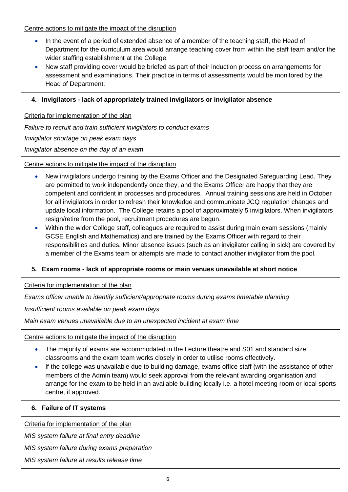Centre actions to mitigate the impact of the disruption

- In the event of a period of extended absence of a member of the teaching staff, the Head of Department for the curriculum area would arrange teaching cover from within the staff team and/or the wider staffing establishment at the College.
- New staff providing cover would be briefed as part of their induction process on arrangements for assessment and examinations. Their practice in terms of assessments would be monitored by the Head of Department.

# <span id="page-5-0"></span>**4. Invigilators - lack of appropriately trained invigilators or invigilator absence**

Criteria for implementation of the plan

*Failure to recruit and train sufficient invigilators to conduct exams*

*Invigilator shortage on peak exam days*

*Invigilator absence on the day of an exam*

Centre actions to mitigate the impact of the disruption

- New invigilators undergo training by the Exams Officer and the Designated Safeguarding Lead. They are permitted to work independently once they, and the Exams Officer are happy that they are competent and confident in processes and procedures. Annual training sessions are held in October for all invigilators in order to refresh their knowledge and communicate JCQ regulation changes and update local information. The College retains a pool of approximately 5 invigilators. When invigilators resign/retire from the pool, recruitment procedures are begun.
- Within the wider College staff, colleagues are required to assist during main exam sessions (mainly GCSE English and Mathematics) and are trained by the Exams Officer with regard to their responsibilities and duties. Minor absence issues (such as an invigilator calling in sick) are covered by a member of the Exams team or attempts are made to contact another invigilator from the pool.

# <span id="page-5-1"></span>**5. Exam rooms - lack of appropriate rooms or main venues unavailable at short notice**

Criteria for implementation of the plan

*Exams officer unable to identify sufficient/appropriate rooms during exams timetable planning*

*Insufficient rooms available on peak exam days*

*Main exam venues unavailable due to an unexpected incident at exam time*

Centre actions to mitigate the impact of the disruption

- The majority of exams are accommodated in the Lecture theatre and S01 and standard size classrooms and the exam team works closely in order to utilise rooms effectively.
- If the college was unavailable due to building damage, exams office staff (with the assistance of other members of the Admin team) would seek approval from the relevant awarding organisation and arrange for the exam to be held in an available building locally i.e. a hotel meeting room or local sports centre, if approved.

#### <span id="page-5-2"></span>**6. Failure of IT systems**

Criteria for implementation of the plan

*MIS system failure at final entry deadline*

*MIS system failure during exams preparation*

*MIS system failure at results release time*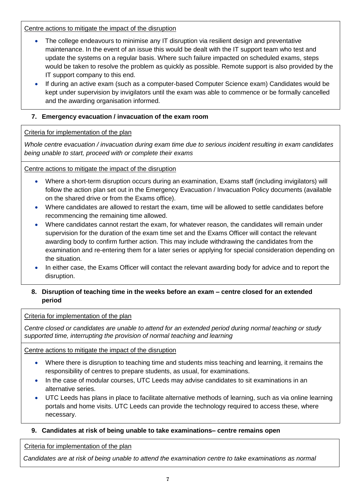Centre actions to mitigate the impact of the disruption

- The college endeavours to minimise any IT disruption via resilient design and preventative maintenance. In the event of an issue this would be dealt with the IT support team who test and update the systems on a regular basis. Where such failure impacted on scheduled exams, steps would be taken to resolve the problem as quickly as possible. Remote support is also provided by the IT support company to this end.
- If during an active exam (such as a computer-based Computer Science exam) Candidates would be kept under supervision by invigilators until the exam was able to commence or be formally cancelled and the awarding organisation informed.

# <span id="page-6-0"></span>**7. Emergency evacuation / invacuation of the exam room**

#### Criteria for implementation of the plan

*Whole centre evacuation / invacuation during exam time due to serious incident resulting in exam candidates being unable to start, proceed with or complete their exams*

#### Centre actions to mitigate the impact of the disruption

- Where a short-term disruption occurs during an examination, Exams staff (including invigilators) will follow the action plan set out in the Emergency Evacuation / Invacuation Policy documents (available on the shared drive or from the Exams office).
- Where candidates are allowed to restart the exam, time will be allowed to settle candidates before recommencing the remaining time allowed.
- Where candidates cannot restart the exam, for whatever reason, the candidates will remain under supervision for the duration of the exam time set and the Exams Officer will contact the relevant awarding body to confirm further action. This may include withdrawing the candidates from the examination and re-entering them for a later series or applying for special consideration depending on the situation.
- In either case, the Exams Officer will contact the relevant awarding body for advice and to report the disruption.

# <span id="page-6-1"></span>**8. Disruption of teaching time in the weeks before an exam – centre closed for an extended period**

Criteria for implementation of the plan

*Centre closed or candidates are unable to attend for an extended period during normal teaching or study supported time, interrupting the provision of normal teaching and learning*

Centre actions to mitigate the impact of the disruption

- Where there is disruption to teaching time and students miss teaching and learning, it remains the responsibility of centres to prepare students, as usual, for examinations.
- In the case of modular courses, UTC Leeds may advise candidates to sit examinations in an alternative series.
- UTC Leeds has plans in place to facilitate alternative methods of learning, such as via online learning portals and home visits. UTC Leeds can provide the technology required to access these, where necessary.

# <span id="page-6-2"></span>**9. Candidates at risk of being unable to take examinations– centre remains open**

Criteria for implementation of the plan

*Candidates are at risk of being unable to attend the examination centre to take examinations as normal*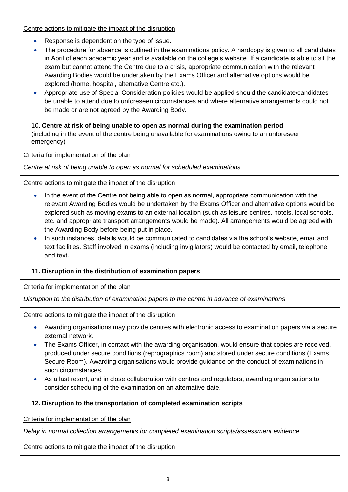Centre actions to mitigate the impact of the disruption

- Response is dependent on the type of issue.
- The procedure for absence is outlined in the examinations policy. A hardcopy is given to all candidates in April of each academic year and is available on the college's website. If a candidate is able to sit the exam but cannot attend the Centre due to a crisis, appropriate communication with the relevant Awarding Bodies would be undertaken by the Exams Officer and alternative options would be explored (home, hospital, alternative Centre etc.).
- Appropriate use of Special Consideration policies would be applied should the candidate/candidates be unable to attend due to unforeseen circumstances and where alternative arrangements could not be made or are not agreed by the Awarding Body.

# <span id="page-7-0"></span>10. **Centre at risk of being unable to open as normal during the examination period**  (including in the event of the centre being unavailable for examinations owing to an unforeseen emergency)

Criteria for implementation of the plan

*Centre at risk of being unable to open as normal for scheduled examinations* 

Centre actions to mitigate the impact of the disruption

- In the event of the Centre not being able to open as normal, appropriate communication with the relevant Awarding Bodies would be undertaken by the Exams Officer and alternative options would be explored such as moving exams to an external location (such as leisure centres, hotels, local schools, etc. and appropriate transport arrangements would be made). All arrangements would be agreed with the Awarding Body before being put in place.
- In such instances, details would be communicated to candidates via the school's website, email and text facilities. Staff involved in exams (including invigilators) would be contacted by email, telephone and text.

# <span id="page-7-1"></span>**11. Disruption in the distribution of examination papers**

Criteria for implementation of the plan

*Disruption to the distribution of examination papers to the centre in advance of examinations*

Centre actions to mitigate the impact of the disruption

- Awarding organisations may provide centres with electronic access to examination papers via a secure external network.
- The Exams Officer, in contact with the awarding organisation, would ensure that copies are received, produced under secure conditions (reprographics room) and stored under secure conditions (Exams Secure Room). Awarding organisations would provide guidance on the conduct of examinations in such circumstances.
- As a last resort, and in close collaboration with centres and regulators, awarding organisations to consider scheduling of the examination on an alternative date.

# <span id="page-7-2"></span>**12. Disruption to the transportation of completed examination scripts**

Criteria for implementation of the plan

*Delay in normal collection arrangements for completed examination scripts/assessment evidence*

Centre actions to mitigate the impact of the disruption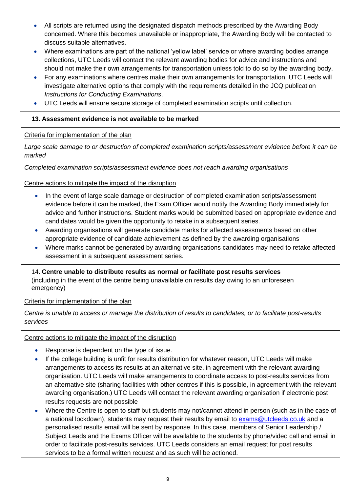- All scripts are returned using the designated dispatch methods prescribed by the Awarding Body concerned. Where this becomes unavailable or inappropriate, the Awarding Body will be contacted to discuss suitable alternatives.
- Where examinations are part of the national 'yellow label' service or where awarding bodies arrange collections, UTC Leeds will contact the relevant awarding bodies for advice and instructions and should not make their own arrangements for transportation unless told to do so by the awarding body.
- For any examinations where centres make their own arrangements for transportation, UTC Leeds will investigate alternative options that comply with the requirements detailed in the JCQ publication *Instructions for Conducting Examinations*.
- UTC Leeds will ensure secure storage of completed examination scripts until collection.

# <span id="page-8-0"></span>**13. Assessment evidence is not available to be marked**

Criteria for implementation of the plan

*Large scale damage to or destruction of completed examination scripts/assessment evidence before it can be marked*

*Completed examination scripts/assessment evidence does not reach awarding organisations* 

Centre actions to mitigate the impact of the disruption

- In the event of large scale damage or destruction of completed examination scripts/assessment evidence before it can be marked, the Exam Officer would notify the Awarding Body immediately for advice and further instructions. Student marks would be submitted based on appropriate evidence and candidates would be given the opportunity to retake in a subsequent series.
- Awarding organisations will generate candidate marks for affected assessments based on other appropriate evidence of candidate achievement as defined by the awarding organisations
- Where marks cannot be generated by awarding organisations candidates may need to retake affected assessment in a subsequent assessment series.

# <span id="page-8-1"></span>14. **Centre unable to distribute results as normal or facilitate post results services**

(including in the event of the centre being unavailable on results day owing to an unforeseen emergency)

Criteria for implementation of the plan

*Centre is unable to access or manage the distribution of results to candidates, or to facilitate post-results services*

# Centre actions to mitigate the impact of the disruption

- Response is dependent on the type of issue.
- If the college building is unfit for results distribution for whatever reason, UTC Leeds will make arrangements to access its results at an alternative site, in agreement with the relevant awarding organisation. UTC Leeds will make arrangements to coordinate access to post-results services from an alternative site (sharing facilities with other centres if this is possible, in agreement with the relevant awarding organisation.) UTC Leeds will contact the relevant awarding organisation if electronic post results requests are not possible
- Where the Centre is open to staff but students may not/cannot attend in person (such as in the case of a national lockdown), students may request their results by email to [exams@utcleeds.co.uk](mailto:exams@utcleeds.co.uk) and a personalised results email will be sent by response. In this case, members of Senior Leadership / Subject Leads and the Exams Officer will be available to the students by phone/video call and email in order to facilitate post-results services. UTC Leeds considers an email request for post results services to be a formal written request and as such will be actioned.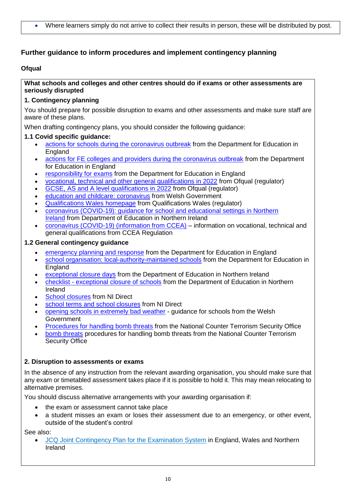# <span id="page-9-0"></span>**Further guidance to inform procedures and implement contingency planning**

#### <span id="page-9-1"></span>**Ofqual**

**What schools and colleges and other centres should do if exams or other assessments are seriously disrupted**

#### **1. Contingency planning**

You should prepare for possible disruption to exams and other assessments and make sure staff are aware of these plans.

When drafting contingency plans, you should consider the following guidance:

#### <span id="page-9-2"></span>**1.1 Covid specific guidance:**

- actions [for schools during the coronavirus outbreak](https://www.gov.uk/government/publications/actions-for-schools-during-the-coronavirus-outbreak) from the Department for Education in **England**
- actions [for FE colleges and providers during the coronavirus outbreak](https://www.gov.uk/government/publications/coronavirus-covid-19-maintaining-further-education-provision) from the Department for Education in England
- [responsibility for exams](https://www.gov.uk/government/publications/responsibility-for-autumn-gcse-as-and-a-level-exam-series) from the Department for Education in England
- [vocational, technical and other general qualifications in 2022](https://www.gov.uk/government/collections/vocational-technical-and-other-general-qualifications-in-2022) from Ofqual (regulator)
- [GCSE, AS and A level qualifications in 2022](https://www.gov.uk/government/collections/gcse-as-and-a-level-qualifications-in-2022) from Ofqual (regulator)
- [education and childcare: coronavirus](https://gov.wales/education-coronavirus) from Welsh Government
- [Qualifications Wales homepage](https://www.qualificationswales.org/english/) from Qualifications Wales (regulator)
- [coronavirus \(COVID-19\): guidance for school and educational settings in Northern](https://www.education-ni.gov.uk/publications/coronavirus-covid-19-guidance-school-and-educational-settings-northern-ireland)  [Ireland](https://www.education-ni.gov.uk/publications/coronavirus-covid-19-guidance-school-and-educational-settings-northern-ireland) from Department of Education in Northern Ireland
- [coronavirus \(COVID-19\) \(information from CCEA\)](https://ccea.org.uk/regulation/coronavirus) information on vocational, technical and general qualifications from CCEA Regulation

#### **1.2 General contingency guidance**

- **EXECTED FROM THE PERITH THE PERITHM FROM THE PERITHM FROM THE PROPERTY CONCERT**
- [school organisation: local-authority-maintained schools](https://www.gov.uk/government/publications/school-organisation-maintained-schools) from the Department for Education in **England**
- [exceptional closure days](https://www.education-ni.gov.uk/articles/exceptional-closure-days) from the Department of Education in Northern Ireland
- checklist [exceptional closure of schools](https://www.education-ni.gov.uk/publications/checklist-exceptional-closure-schools) from the Department of Education in Northern Ireland
- [School closures](https://gov.wales/opening-schools-extremely-bad-weather-guidance-schools) from NI Direct
- [school terms and school closures](https://www.nidirect.gov.uk/articles/school-terms-and-school-closures) from NI Direct
- [opening schools in extremely bad weather](https://gov.wales/opening-schools-extremely-bad-weather-guidance-schools) guidance for schools from the Welsh Government
- [Procedures for handling bomb threats](https://www.gov.uk/government/publications/bomb-threats-guidance) from the National Counter Terrorism Security Office
- [bomb threats](https://www.gov.uk/government/publications/crowded-places-guidance/bomb-threats) procedures for handling bomb threats from the National Counter Terrorism Security Office

# **2. Disruption to assessments or exams**

In the absence of any instruction from the relevant awarding organisation, you should make sure that any exam or timetabled assessment takes place if it is possible to hold it. This may mean relocating to alternative premises.

You should discuss alternative arrangements with your awarding organisation if:

- the exam or assessment cannot take place
- a student misses an exam or loses their assessment due to an emergency, or other event, outside of the student's control

See also:

 JCQ Joint [Contingency](https://www.jcq.org.uk/exams-office/other-documents/jcq-joint-contingency-plan/) Plan for the Examination System in England, Wales and Northern **[Ireland](https://www.jcq.org.uk/exams-office/other-documents/jcq-joint-contingency-plan/)**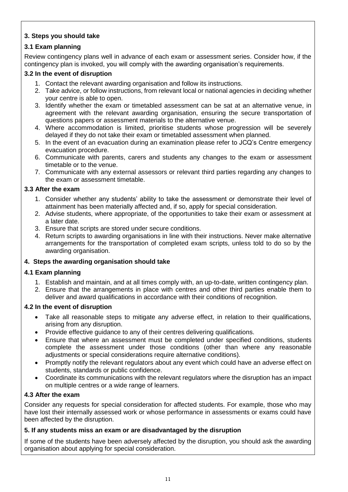# **3. Steps you should take**

# **3.1 Exam planning**

Review contingency plans well in advance of each exam or assessment series. Consider how, if the contingency plan is invoked, you will comply with the awarding organisation's requirements.

# **3.2 In the event of disruption**

- 1. Contact the relevant awarding organisation and follow its instructions.
- 2. Take advice, or follow instructions, from relevant local or national agencies in deciding whether your centre is able to open.
- 3. Identify whether the exam or timetabled assessment can be sat at an alternative venue, in agreement with the relevant awarding organisation, ensuring the secure transportation of questions papers or assessment materials to the alternative venue.
- 4. Where accommodation is limited, prioritise students whose progression will be severely delayed if they do not take their exam or timetabled assessment when planned.
- 5. In the event of an evacuation during an examination please refer to JCQ's Centre [emergency](https://www.jcq.org.uk/exams-office/ice---instructions-for-conducting-examinations/centre-emergency-evacuation-procedure) [evacuation](https://www.jcq.org.uk/exams-office/ice---instructions-for-conducting-examinations/centre-emergency-evacuation-procedure) procedure.
- 6. Communicate with parents, carers and students any changes to the exam or assessment timetable or to the venue.
- 7. Communicate with any external assessors or relevant third parties regarding any changes to the exam or assessment timetable.

#### **3.3 After the exam**

- 1. Consider whether any students' ability to take the assessment or demonstrate their level of attainment has been materially affected and, if so, apply for special consideration.
- 2. Advise students, where appropriate, of the opportunities to take their exam or assessment at a later date.
- 3. Ensure that scripts are stored under secure conditions.
- 4. Return scripts to awarding organisations in line with their instructions. Never make alternative arrangements for the transportation of completed exam scripts, unless told to do so by the awarding organisation.

# **4. Steps the awarding organisation should take**

# **4.1 Exam planning**

- 1. Establish and maintain, and at all times comply with, an up-to-date, written contingency plan.
- 2. Ensure that the arrangements in place with centres and other third parties enable them to deliver and award qualifications in accordance with their conditions of recognition.

#### **4.2 In the event of disruption**

- Take all reasonable steps to mitigate any adverse effect, in relation to their qualifications, arising from any disruption.
- Provide effective guidance to any of their centres delivering qualifications.
- Ensure that where an assessment must be completed under specified conditions, students complete the assessment under those conditions (other than where any reasonable adjustments or special considerations require alternative conditions).
- Promptly notify the relevant regulators about any event which could have an adverse effect on students, standards or public confidence.
- Coordinate its communications with the relevant regulators where the disruption has an impact on multiple centres or a wide range of learners.

#### **4.3 After the exam**

Consider any requests for special consideration for affected students. For example, those who may have lost their internally assessed work or whose performance in assessments or exams could have been affected by the disruption.

#### **5. If any students miss an exam or are disadvantaged by the disruption**

If some of the students have been adversely affected by the disruption, you should ask the awarding organisation about applying for special consideration.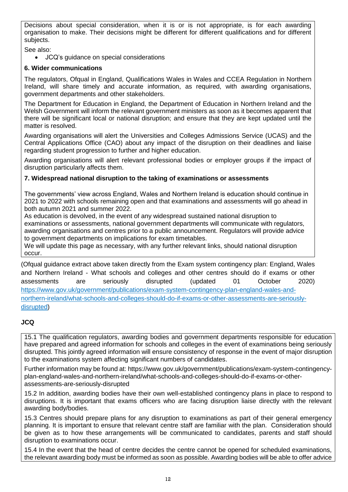Decisions about special consideration, when it is or is not appropriate, is for each awarding organisation to make. Their decisions might be different for different qualifications and for different subjects.

See also:

JCQ's guidance on special [considerations](https://www.jcq.org.uk/exams-office/access-arrangements-and-special-consideration/regulations-and-guidance)

#### **6. Wider communications**

The regulators, [Ofqual](https://www.gov.uk/ofqual) in England, [Qualifications](http://qualificationswales.org/) Wales in Wales and [CCEA](http://ccea.org.uk/) Regulation in Northern Ireland, will share timely and accurate information, as required, with awarding organisations, government departments and other stakeholders.

The [Department](https://www.gov.uk/government/organisations/department-for-education) for Education in England, the [Department](https://www.education-ni.gov.uk/) of Education in Northern Ireland and the Welsh [Government](http://gov.wales/topics/educationandskills/?lang=en) will inform the relevant government ministers as soon as it becomes apparent that there will be significant local or national disruption; and ensure that they are kept updated until the matter is resolved.

Awarding organisations will alert the [Universities](https://www.ucas.com/) and Colleges Admissions Service (UCAS) and the Central [Applications](http://www.cao.ie/) Office (CAO) about any impact of the disruption on their deadlines and liaise regarding student progression to further and higher education.

Awarding organisations will alert relevant professional bodies or employer groups if the impact of disruption particularly affects them.

#### <span id="page-11-0"></span>**7. Widespread national disruption to the taking of examinations or assessments**

The governments' view across England, Wales and Northern Ireland is education should continue in 2021 to 2022 with schools remaining open and that examinations and assessments will go ahead in both autumn 2021 and summer 2022.

As education is devolved, in the event of any widespread sustained national disruption to examinations or assessments, national government departments will communicate with regulators, awarding organisations and centres prior to a public announcement. Regulators will provide advice to government departments on implications for exam timetables.

We will update this page as necessary, with any further relevant links, should national disruption occur.

(Ofqual guidance extract above taken directly from the Exam system contingency plan: England, Wales and Northern Ireland - What schools and colleges and other centres should do if exams or other assessments are seriously disrupted (updated 01 October 2020) [https://www.gov.uk/government/publications/exam-system-contingency-plan-england-wales-and](https://www.gov.uk/government/publications/exam-system-contingency-plan-england-wales-and-northern-ireland/what-schools-and-colleges-should-do-if-exams-or-other-assessments-are-seriously-disrupted)[northern-ireland/what-schools-and-colleges-should-do-if-exams-or-other-assessments-are-seriously](https://www.gov.uk/government/publications/exam-system-contingency-plan-england-wales-and-northern-ireland/what-schools-and-colleges-should-do-if-exams-or-other-assessments-are-seriously-disrupted)[disrupted\)](https://www.gov.uk/government/publications/exam-system-contingency-plan-england-wales-and-northern-ireland/what-schools-and-colleges-should-do-if-exams-or-other-assessments-are-seriously-disrupted)

# <span id="page-11-1"></span>**JCQ**

15.1 The qualification regulators, awarding bodies and government departments responsible for education have prepared and agreed information for schools and colleges in the event of examinations being seriously disrupted. This jointly agreed information will ensure consistency of response in the event of major disruption to the examinations system affecting significant numbers of candidates.

Further information may be found at: [https://www.gov.uk/government/publications/exam-system-contingency](https://www.gov.uk/government/publications/exam-system-contingency-plan-england-wales-and-northern-ireland/what-schools-and-colleges-should-do-if-exams-or-other-assessments-are-seriously-disrupted)[plan-england-wales-and-northern-ireland/what-schools-and-colleges-should-do-if-exams-or-other](https://www.gov.uk/government/publications/exam-system-contingency-plan-england-wales-and-northern-ireland/what-schools-and-colleges-should-do-if-exams-or-other-assessments-are-seriously-disrupted)[assessments-are-seriously-disrupted](https://www.gov.uk/government/publications/exam-system-contingency-plan-england-wales-and-northern-ireland/what-schools-and-colleges-should-do-if-exams-or-other-assessments-are-seriously-disrupted)

15.2 In addition, awarding bodies have their own well-established contingency plans in place to respond to disruptions. It is important that exams officers who are facing disruption liaise directly with the relevant awarding body/bodies.

15.3 Centres should prepare plans for any disruption to examinations as part of their general emergency planning. It is important to ensure that relevant centre staff are familiar with the plan. Consideration should be given as to how these arrangements will be communicated to candidates, parents and staff should disruption to examinations occur.

15.4 In the event that the head of centre decides the centre cannot be opened for scheduled examinations, the relevant awarding body must be informed as soon as possible. Awarding bodies will be able to offer advice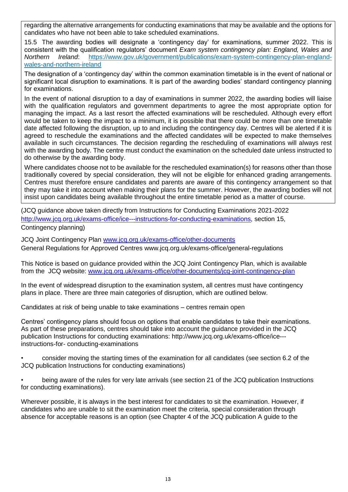regarding the alternative arrangements for conducting examinations that may be available and the options for candidates who have not been able to take scheduled examinations.

15.5 The awarding bodies will designate a 'contingency day' for examinations, summer 2022. This is consistent with the qualification regulators' document *Exam system contingency plan: England, Wales and Northern Ireland*: [https://www.gov.uk/government/publications/exam-system-contingency-plan-england](https://www.gov.uk/government/publications/exam-system-contingency-plan-england-wales-and-northern-ireland)[wales-and-northern-ireland](https://www.gov.uk/government/publications/exam-system-contingency-plan-england-wales-and-northern-ireland)

The designation of a 'contingency day' within the common examination timetable is in the event of national or significant local disruption to examinations. It is part of the awarding bodies' standard contingency planning for examinations.

In the event of national disruption to a day of examinations in summer 2022, the awarding bodies will liaise with the qualification regulators and government departments to agree the most appropriate option for managing the impact. As a last resort the affected examinations will be rescheduled. Although every effort would be taken to keep the impact to a minimum, it is possible that there could be more than one timetable date affected following the disruption, up to and including the contingency day. Centres will be alerted if it is agreed to reschedule the examinations and the affected candidates will be expected to make themselves available in such circumstances. The decision regarding the rescheduling of examinations will always rest with the awarding body. The centre must conduct the examination on the scheduled date unless instructed to do otherwise by the awarding body.

Where candidates choose not to be available for the rescheduled examination(s) for reasons other than those traditionally covered by special consideration, they will not be eligible for enhanced grading arrangements. Centres must therefore ensure candidates and parents are aware of this contingency arrangement so that they may take it into account when making their plans for the summer. However, the awarding bodies will not insist upon candidates being available throughout the entire timetable period as a matter of course.

(JCQ guidance above taken directly from Instructions for Conducting Examinations 2021-2022 [http://www.jcq.org.uk/exams-office/ice---instructions-for-conducting-examinations,](http://www.jcq.org.uk/exams-office/ice---instructions-for-conducting-examinations) section 15, Contingency planning)

JCQ Joint Contingency Plan [www.jcq.org.uk/exams-office/other-documents](http://www.jcq.org.uk/exams-office/other-documents) General Regulations for Approved Centres [www.jcq.org.uk/exams-office/general-regulations](http://www.jcq.org.uk/exams-office/general-regulations)

<span id="page-12-0"></span>This Notice is based on guidance provided within the JCQ Joint Contingency Plan, which is available from the JCQ website: [www.jcq.org.uk/exams-office/other-documents/jcq-joint-contingency-plan](http://www.jcq.org.uk/exams-office/other-documents/jcq-joint-contingency-plan)

In the event of widespread disruption to the examination system, all centres must have contingency plans in place. There are three main categories of disruption, which are outlined below.

Candidates at risk of being unable to take examinations – centres remain open

Centres' contingency plans should focus on options that enable candidates to take their examinations. As part of these preparations, centres should take into account the guidance provided in the JCQ publication Instructions for conducting examinations: http://www.jcq.org.uk/exams-office/ice-- instructions-for- conducting-examinations

• consider moving the starting times of the examination for all candidates (see section 6.2 of the JCQ publication Instructions for conducting examinations)

being aware of the rules for very late arrivals (see section 21 of the JCQ publication Instructions for conducting examinations).

Wherever possible, it is always in the best interest for candidates to sit the examination. However, if candidates who are unable to sit the examination meet the criteria, special consideration through absence for acceptable reasons is an option (see Chapter 4 of the JCQ publication A guide to the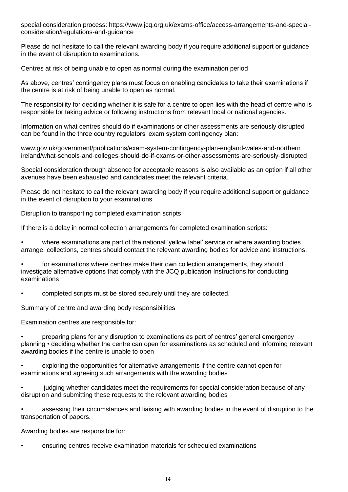special consideration process: https://www.jcq.org.uk/exams-office/access-arrangements-and-specialconsideration/regulations-and-guidance

Please do not hesitate to call the relevant awarding body if you require additional support or guidance in the event of disruption to examinations.

Centres at risk of being unable to open as normal during the examination period

As above, centres' contingency plans must focus on enabling candidates to take their examinations if the centre is at risk of being unable to open as normal.

The responsibility for deciding whether it is safe for a centre to open lies with the head of centre who is responsible for taking advice or following instructions from relevant local or national agencies.

Information on what centres should do if examinations or other assessments are seriously disrupted can be found in the three country regulators' exam system contingency plan:

www.gov.uk/government/publications/exam-system-contingency-plan-england-wales-and-northern ireland/what-schools-and-colleges-should-do-if-exams-or-other-assessments-are-seriously-disrupted

Special consideration through absence for acceptable reasons is also available as an option if all other avenues have been exhausted and candidates meet the relevant criteria.

Please do not hesitate to call the relevant awarding body if you require additional support or guidance in the event of disruption to your examinations.

Disruption to transporting completed examination scripts

If there is a delay in normal collection arrangements for completed examination scripts:

• where examinations are part of the national 'yellow label' service or where awarding bodies arrange collections, centres should contact the relevant awarding bodies for advice and instructions.

• for examinations where centres make their own collection arrangements, they should investigate alternative options that comply with the JCQ publication Instructions for conducting examinations

• completed scripts must be stored securely until they are collected.

Summary of centre and awarding body responsibilities

Examination centres are responsible for:

• preparing plans for any disruption to examinations as part of centres' general emergency planning • deciding whether the centre can open for examinations as scheduled and informing relevant awarding bodies if the centre is unable to open

• exploring the opportunities for alternative arrangements if the centre cannot open for examinations and agreeing such arrangements with the awarding bodies

• judging whether candidates meet the requirements for special consideration because of any disruption and submitting these requests to the relevant awarding bodies

• assessing their circumstances and liaising with awarding bodies in the event of disruption to the transportation of papers.

Awarding bodies are responsible for:

• ensuring centres receive examination materials for scheduled examinations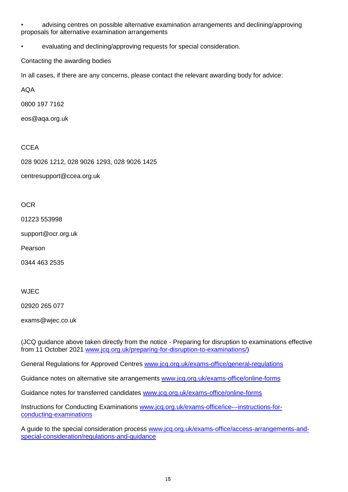• advising centres on possible alternative examination arrangements and declining/approving proposals for alternative examination arrangements

• evaluating and declining/approving requests for special consideration.

Contacting the awarding bodies

In all cases, if there are any concerns, please contact the relevant awarding body for advice:

AQA

0800 197 7162

eos@aqa.org.uk

#### **CCEA**

028 9026 1212, 028 9026 1293, 028 9026 1425

centresupport@ccea.org.uk

**OCR** 

01223 553998

support@ocr.org.uk

Pearson

0344 463 2535

WJEC

02920 265 077

exams@wjec.co.uk

(JCQ guidance above taken directly from the notice - Preparing for disruption to examinations effective from 11 October 2021 [www.jcq.org.uk/preparing-for-disruption-to-examinations/\)](http://www.jcq.org.uk/preparing-for-disruption-to-examinations/)

General Regulations for Approved Centres [www.jcq.org.uk/exams-office/general-regulations](http://www.jcq.org.uk/exams-office/general-regulations)

Guidance notes on alternative site arrangements [www.jcq.org.uk/exams-office/online-forms](http://www.jcq.org.uk/exams-office/online-forms)

Guidance notes for transferred candidates [www.jcq.org.uk/exams-office/online-forms](http://www.jcq.org.uk/exams-office/online-forms)

Instructions for Conducting Examinations [www.jcq.org.uk/exams-office/ice---instructions-for](http://www.jcq.org.uk/exams-office/ice---instructions-for-conducting-examinations)[conducting-examinations](http://www.jcq.org.uk/exams-office/ice---instructions-for-conducting-examinations)

A guide to the special consideration process [www.jcq.org.uk/exams-office/access-arrangements-and](http://www.jcq.org.uk/exams-office/access-arrangements-and-special-consideration/regulations-and-guidance)[special-consideration/regulations-and-guidance](http://www.jcq.org.uk/exams-office/access-arrangements-and-special-consideration/regulations-and-guidance)